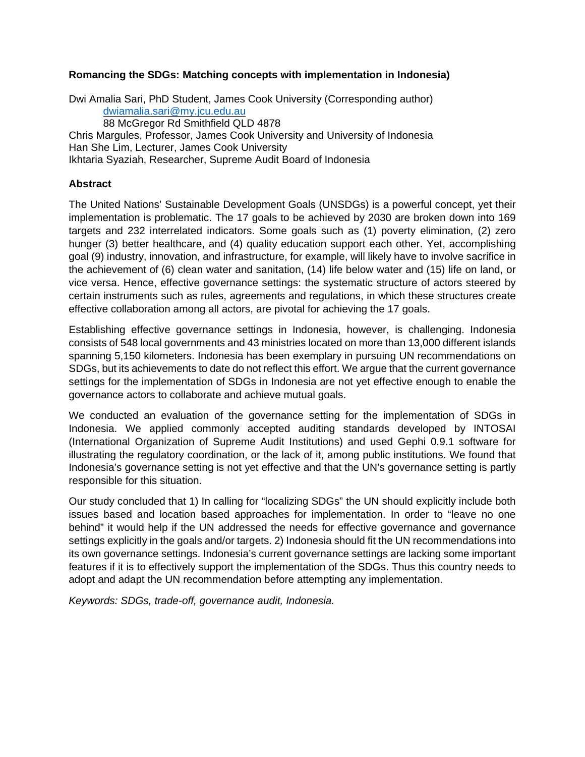### **Romancing the SDGs: Matching concepts with implementation in Indonesia)**

Dwi Amalia Sari, PhD Student, James Cook University (Corresponding author) [dwiamalia.sari@my.jcu.edu.au](mailto:dwiamalia.sari@my.jcu.edu.au) 88 McGregor Rd Smithfield QLD 4878 Chris Margules, Professor, James Cook University and University of Indonesia Han She Lim, Lecturer, James Cook University Ikhtaria Syaziah, Researcher, Supreme Audit Board of Indonesia

#### **Abstract**

The United Nations' Sustainable Development Goals (UNSDGs) is a powerful concept, yet their implementation is problematic. The 17 goals to be achieved by 2030 are broken down into 169 targets and 232 interrelated indicators. Some goals such as (1) poverty elimination, (2) zero hunger (3) better healthcare, and (4) quality education support each other. Yet, accomplishing goal (9) industry, innovation, and infrastructure, for example, will likely have to involve sacrifice in the achievement of (6) clean water and sanitation, (14) life below water and (15) life on land, or vice versa. Hence, effective governance settings: the systematic structure of actors steered by certain instruments such as rules, agreements and regulations, in which these structures create effective collaboration among all actors, are pivotal for achieving the 17 goals.

Establishing effective governance settings in Indonesia, however, is challenging. Indonesia consists of 548 local governments and 43 ministries located on more than 13,000 different islands spanning 5,150 kilometers. Indonesia has been exemplary in pursuing UN recommendations on SDGs, but its achievements to date do not reflect this effort. We argue that the current governance settings for the implementation of SDGs in Indonesia are not yet effective enough to enable the governance actors to collaborate and achieve mutual goals.

We conducted an evaluation of the governance setting for the implementation of SDGs in Indonesia. We applied commonly accepted auditing standards developed by INTOSAI (International Organization of Supreme Audit Institutions) and used Gephi 0.9.1 software for illustrating the regulatory coordination, or the lack of it, among public institutions. We found that Indonesia's governance setting is not yet effective and that the UN's governance setting is partly responsible for this situation.

Our study concluded that 1) In calling for "localizing SDGs" the UN should explicitly include both issues based and location based approaches for implementation. In order to "leave no one behind" it would help if the UN addressed the needs for effective governance and governance settings explicitly in the goals and/or targets. 2) Indonesia should fit the UN recommendations into its own governance settings. Indonesia's current governance settings are lacking some important features if it is to effectively support the implementation of the SDGs. Thus this country needs to adopt and adapt the UN recommendation before attempting any implementation.

*Keywords: SDGs, trade-off, governance audit, Indonesia.*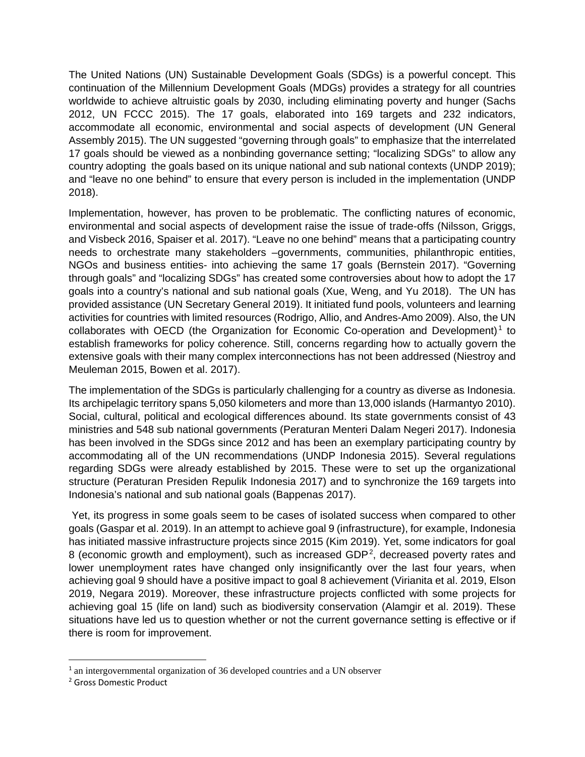The United Nations (UN) Sustainable Development Goals (SDGs) is a powerful concept. This continuation of the Millennium Development Goals (MDGs) provides a strategy for all countries worldwide to achieve altruistic goals by 2030, including eliminating poverty and hunger (Sachs 2012, UN FCCC 2015). The 17 goals, elaborated into 169 targets and 232 indicators, accommodate all economic, environmental and social aspects of development (UN General Assembly 2015). The UN suggested "governing through goals" to emphasize that the interrelated 17 goals should be viewed as a nonbinding governance setting; "localizing SDGs" to allow any country adopting the goals based on its unique national and sub national contexts (UNDP 2019); and "leave no one behind" to ensure that every person is included in the implementation (UNDP 2018).

Implementation, however, has proven to be problematic. The conflicting natures of economic, environmental and social aspects of development raise the issue of trade-offs (Nilsson, Griggs, and Visbeck 2016, Spaiser et al. 2017). "Leave no one behind" means that a participating country needs to orchestrate many stakeholders –governments, communities, philanthropic entities, NGOs and business entities- into achieving the same 17 goals (Bernstein 2017). "Governing through goals" and "localizing SDGs" has created some controversies about how to adopt the 17 goals into a country's national and sub national goals (Xue, Weng, and Yu 2018). The UN has provided assistance (UN Secretary General 2019). It initiated fund pools, volunteers and learning activities for countries with limited resources (Rodrigo, Allio, and Andres-Amo 2009). Also, the UN collaborates with OECD (the Organization for Economic Co-operation and Development)<sup>1</sup> to establish frameworks for policy coherence. Still, concerns regarding how to actually govern the extensive goals with their many complex interconnections has not been addressed (Niestroy and Meuleman 2015, Bowen et al. 2017).

The implementation of the SDGs is particularly challenging for a country as diverse as Indonesia. Its archipelagic territory spans 5,050 kilometers and more than 13,000 islands (Harmantyo 2010). Social, cultural, political and ecological differences abound. Its state governments consist of 43 ministries and 548 sub national governments (Peraturan Menteri Dalam Negeri 2017). Indonesia has been involved in the SDGs since 2012 and has been an exemplary participating country by accommodating all of the UN recommendations (UNDP Indonesia 2015). Several regulations regarding SDGs were already established by 2015. These were to set up the organizational structure (Peraturan Presiden Repulik Indonesia 2017) and to synchronize the 169 targets into Indonesia's national and sub national goals (Bappenas 2017).

Yet, its progress in some goals seem to be cases of isolated success when compared to other goals (Gaspar et al. 2019). In an attempt to achieve goal 9 (infrastructure), for example, Indonesia has initiated massive infrastructure projects since 2015 (Kim 2019). Yet, some indicators for goal 8 (economic growth and employment), such as increased GDP $^2$ , decreased poverty rates and lower unemployment rates have changed only insignificantly over the last four years, when achieving goal 9 should have a positive impact to goal 8 achievement (Virianita et al. 2019, Elson 2019, Negara 2019). Moreover, these infrastructure projects conflicted with some projects for achieving goal 15 (life on land) such as biodiversity conservation (Alamgir et al. 2019). These situations have led us to question whether or not the current governance setting is effective or if there is room for improvement.

 <sup>1</sup> an intergovernmental organization of 36 developed countries and a UN observer

<sup>2</sup> Gross Domestic Product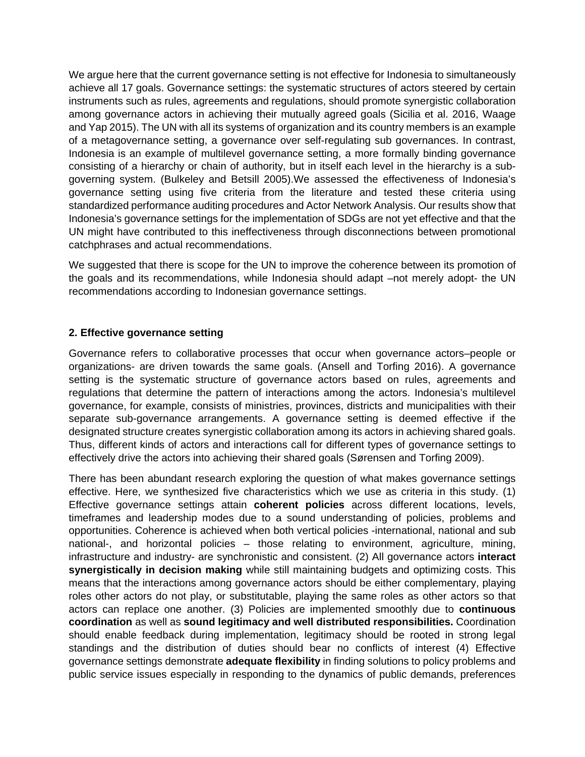We argue here that the current governance setting is not effective for Indonesia to simultaneously achieve all 17 goals. Governance settings: the systematic structures of actors steered by certain instruments such as rules, agreements and regulations, should promote synergistic collaboration among governance actors in achieving their mutually agreed goals (Sicilia et al. 2016, Waage and Yap 2015). The UN with all its systems of organization and its country members is an example of a metagovernance setting, a governance over self-regulating sub governances. In contrast, Indonesia is an example of multilevel governance setting, a more formally binding governance consisting of a hierarchy or chain of authority, but in itself each level in the hierarchy is a subgoverning system. (Bulkeley and Betsill 2005).We assessed the effectiveness of Indonesia's governance setting using five criteria from the literature and tested these criteria using standardized performance auditing procedures and Actor Network Analysis. Our results show that Indonesia's governance settings for the implementation of SDGs are not yet effective and that the UN might have contributed to this ineffectiveness through disconnections between promotional catchphrases and actual recommendations.

We suggested that there is scope for the UN to improve the coherence between its promotion of the goals and its recommendations, while Indonesia should adapt –not merely adopt- the UN recommendations according to Indonesian governance settings.

#### **2. Effective governance setting**

Governance refers to collaborative processes that occur when governance actors–people or organizations- are driven towards the same goals. (Ansell and Torfing 2016). A governance setting is the systematic structure of governance actors based on rules, agreements and regulations that determine the pattern of interactions among the actors. Indonesia's multilevel governance, for example, consists of ministries, provinces, districts and municipalities with their separate sub-governance arrangements. A governance setting is deemed effective if the designated structure creates synergistic collaboration among its actors in achieving shared goals. Thus, different kinds of actors and interactions call for different types of governance settings to effectively drive the actors into achieving their shared goals (Sørensen and Torfing 2009).

There has been abundant research exploring the question of what makes governance settings effective. Here, we synthesized five characteristics which we use as criteria in this study. (1) Effective governance settings attain **coherent policies** across different locations, levels, timeframes and leadership modes due to a sound understanding of policies, problems and opportunities. Coherence is achieved when both vertical policies -international, national and sub national-, and horizontal policies – those relating to environment, agriculture, mining, infrastructure and industry- are synchronistic and consistent. (2) All governance actors **interact synergistically in decision making** while still maintaining budgets and optimizing costs. This means that the interactions among governance actors should be either complementary, playing roles other actors do not play, or substitutable, playing the same roles as other actors so that actors can replace one another. (3) Policies are implemented smoothly due to **continuous coordination** as well as **sound legitimacy and well distributed responsibilities.** Coordination should enable feedback during implementation, legitimacy should be rooted in strong legal standings and the distribution of duties should bear no conflicts of interest (4) Effective governance settings demonstrate **adequate flexibility** in finding solutions to policy problems and public service issues especially in responding to the dynamics of public demands, preferences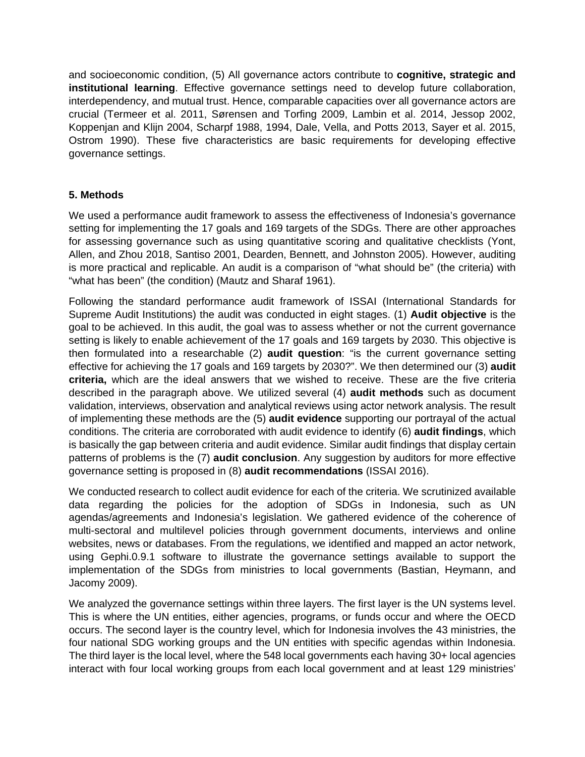and socioeconomic condition, (5) All governance actors contribute to **cognitive, strategic and institutional learning**. Effective governance settings need to develop future collaboration, interdependency, and mutual trust. Hence, comparable capacities over all governance actors are crucial (Termeer et al. 2011, Sørensen and Torfing 2009, Lambin et al. 2014, Jessop 2002, Koppenjan and Klijn 2004, Scharpf 1988, 1994, Dale, Vella, and Potts 2013, Sayer et al. 2015, Ostrom 1990). These five characteristics are basic requirements for developing effective governance settings.

# **5. Methods**

We used a performance audit framework to assess the effectiveness of Indonesia's governance setting for implementing the 17 goals and 169 targets of the SDGs. There are other approaches for assessing governance such as using quantitative scoring and qualitative checklists (Yont, Allen, and Zhou 2018, Santiso 2001, Dearden, Bennett, and Johnston 2005). However, auditing is more practical and replicable. An audit is a comparison of "what should be" (the criteria) with "what has been" (the condition) (Mautz and Sharaf 1961).

Following the standard performance audit framework of ISSAI (International Standards for Supreme Audit Institutions) the audit was conducted in eight stages. (1) **Audit objective** is the goal to be achieved. In this audit, the goal was to assess whether or not the current governance setting is likely to enable achievement of the 17 goals and 169 targets by 2030. This objective is then formulated into a researchable (2) **audit question**: "is the current governance setting effective for achieving the 17 goals and 169 targets by 2030?". We then determined our (3) **audit criteria,** which are the ideal answers that we wished to receive. These are the five criteria described in the paragraph above. We utilized several (4) **audit methods** such as document validation, interviews, observation and analytical reviews using actor network analysis. The result of implementing these methods are the (5) **audit evidence** supporting our portrayal of the actual conditions. The criteria are corroborated with audit evidence to identify (6) **audit findings**, which is basically the gap between criteria and audit evidence. Similar audit findings that display certain patterns of problems is the (7) **audit conclusion**. Any suggestion by auditors for more effective governance setting is proposed in (8) **audit recommendations** (ISSAI 2016).

We conducted research to collect audit evidence for each of the criteria. We scrutinized available data regarding the policies for the adoption of SDGs in Indonesia, such as UN agendas/agreements and Indonesia's legislation. We gathered evidence of the coherence of multi-sectoral and multilevel policies through government documents, interviews and online websites, news or databases. From the regulations, we identified and mapped an actor network, using Gephi.0.9.1 software to illustrate the governance settings available to support the implementation of the SDGs from ministries to local governments (Bastian, Heymann, and Jacomy 2009).

We analyzed the governance settings within three layers. The first layer is the UN systems level. This is where the UN entities, either agencies, programs, or funds occur and where the OECD occurs. The second layer is the country level, which for Indonesia involves the 43 ministries, the four national SDG working groups and the UN entities with specific agendas within Indonesia. The third layer is the local level, where the 548 local governments each having 30+ local agencies interact with four local working groups from each local government and at least 129 ministries'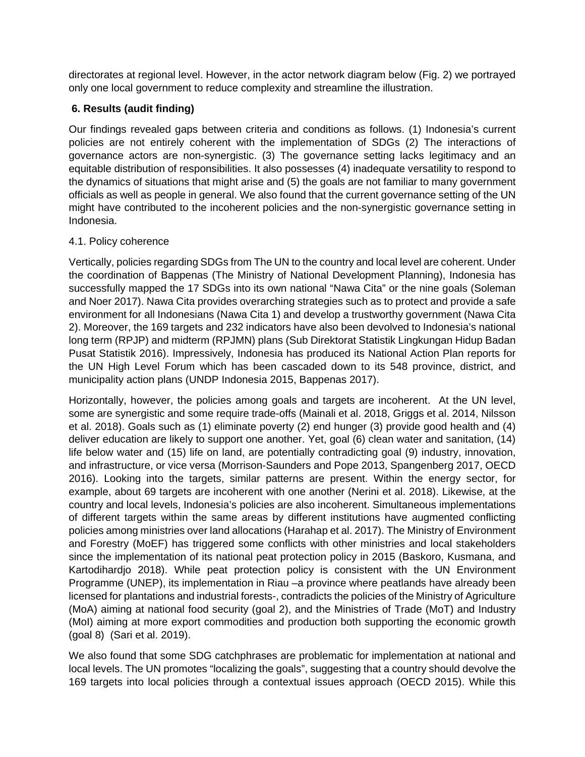directorates at regional level. However, in the actor network diagram below (Fig. 2) we portrayed only one local government to reduce complexity and streamline the illustration.

## **6. Results (audit finding)**

Our findings revealed gaps between criteria and conditions as follows. (1) Indonesia's current policies are not entirely coherent with the implementation of SDGs (2) The interactions of governance actors are non-synergistic. (3) The governance setting lacks legitimacy and an equitable distribution of responsibilities. It also possesses (4) inadequate versatility to respond to the dynamics of situations that might arise and (5) the goals are not familiar to many government officials as well as people in general. We also found that the current governance setting of the UN might have contributed to the incoherent policies and the non-synergistic governance setting in Indonesia.

## 4.1. Policy coherence

Vertically, policies regarding SDGs from The UN to the country and local level are coherent. Under the coordination of Bappenas (The Ministry of National Development Planning), Indonesia has successfully mapped the 17 SDGs into its own national "Nawa Cita" or the nine goals (Soleman and Noer 2017). Nawa Cita provides overarching strategies such as to protect and provide a safe environment for all Indonesians (Nawa Cita 1) and develop a trustworthy government (Nawa Cita 2). Moreover, the 169 targets and 232 indicators have also been devolved to Indonesia's national long term (RPJP) and midterm (RPJMN) plans (Sub Direktorat Statistik Lingkungan Hidup Badan Pusat Statistik 2016). Impressively, Indonesia has produced its National Action Plan reports for the UN High Level Forum which has been cascaded down to its 548 province, district, and municipality action plans (UNDP Indonesia 2015, Bappenas 2017).

Horizontally, however, the policies among goals and targets are incoherent. At the UN level, some are synergistic and some require trade-offs (Mainali et al. 2018, Griggs et al. 2014, Nilsson et al. 2018). Goals such as (1) eliminate poverty (2) end hunger (3) provide good health and (4) deliver education are likely to support one another. Yet, goal (6) clean water and sanitation, (14) life below water and (15) life on land, are potentially contradicting goal (9) industry, innovation, and infrastructure, or vice versa (Morrison-Saunders and Pope 2013, Spangenberg 2017, OECD 2016). Looking into the targets, similar patterns are present. Within the energy sector, for example, about 69 targets are incoherent with one another (Nerini et al. 2018). Likewise, at the country and local levels, Indonesia's policies are also incoherent. Simultaneous implementations of different targets within the same areas by different institutions have augmented conflicting policies among ministries over land allocations (Harahap et al. 2017). The Ministry of Environment and Forestry (MoEF) has triggered some conflicts with other ministries and local stakeholders since the implementation of its national peat protection policy in 2015 (Baskoro, Kusmana, and Kartodihardjo 2018). While peat protection policy is consistent with the UN Environment Programme (UNEP), its implementation in Riau –a province where peatlands have already been licensed for plantations and industrial forests-, contradicts the policies of the Ministry of Agriculture (MoA) aiming at national food security (goal 2), and the Ministries of Trade (MoT) and Industry (MoI) aiming at more export commodities and production both supporting the economic growth (goal 8) (Sari et al. 2019).

We also found that some SDG catchphrases are problematic for implementation at national and local levels. The UN promotes "localizing the goals", suggesting that a country should devolve the 169 targets into local policies through a contextual issues approach (OECD 2015). While this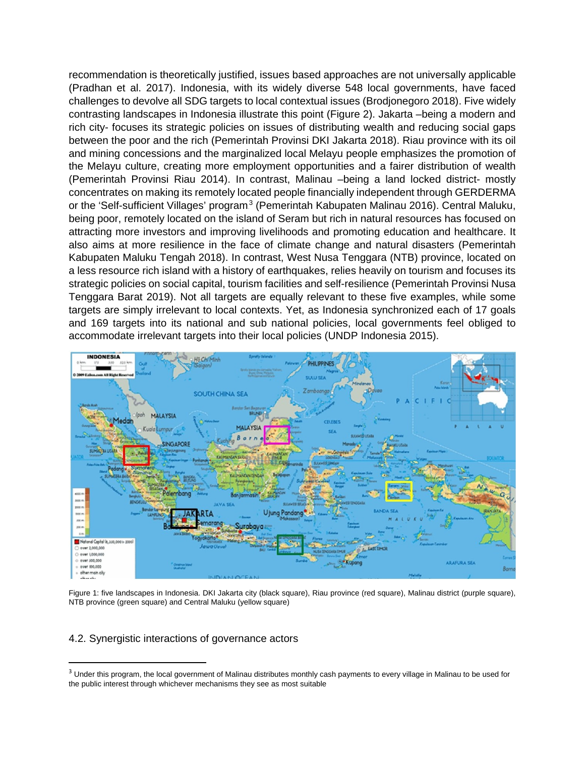recommendation is theoretically justified, issues based approaches are not universally applicable (Pradhan et al. 2017). Indonesia, with its widely diverse 548 local governments, have faced challenges to devolve all SDG targets to local contextual issues (Brodjonegoro 2018). Five widely contrasting landscapes in Indonesia illustrate this point (Figure 2). Jakarta –being a modern and rich city- focuses its strategic policies on issues of distributing wealth and reducing social gaps between the poor and the rich (Pemerintah Provinsi DKI Jakarta 2018). Riau province with its oil and mining concessions and the marginalized local Melayu people emphasizes the promotion of the Melayu culture, creating more employment opportunities and a fairer distribution of wealth (Pemerintah Provinsi Riau 2014). In contrast, Malinau –being a land locked district- mostly concentrates on making its remotely located people financially independent through GERDERMA or the 'Self-sufficient Villages' program<sup>3</sup> (Pemerintah Kabupaten Malinau 2016). Central Maluku, being poor, remotely located on the island of Seram but rich in natural resources has focused on attracting more investors and improving livelihoods and promoting education and healthcare. It also aims at more resilience in the face of climate change and natural disasters (Pemerintah Kabupaten Maluku Tengah 2018). In contrast, West Nusa Tenggara (NTB) province, located on a less resource rich island with a history of earthquakes, relies heavily on tourism and focuses its strategic policies on social capital, tourism facilities and self-resilience (Pemerintah Provinsi Nusa Tenggara Barat 2019). Not all targets are equally relevant to these five examples, while some targets are simply irrelevant to local contexts. Yet, as Indonesia synchronized each of 17 goals and 169 targets into its national and sub national policies, local governments feel obliged to accommodate irrelevant targets into their local policies (UNDP Indonesia 2015).



Figure 1: five landscapes in Indonesia. DKI Jakarta city (black square), Riau province (red square), Malinau district (purple square), NTB province (green square) and Central Maluku (yellow square)

### 4.2. Synergistic interactions of governance actors

<sup>&</sup>lt;sup>3</sup> Under this program, the local government of Malinau distributes monthly cash payments to every village in Malinau to be used for the public interest through whichever mechanisms they see as most suitable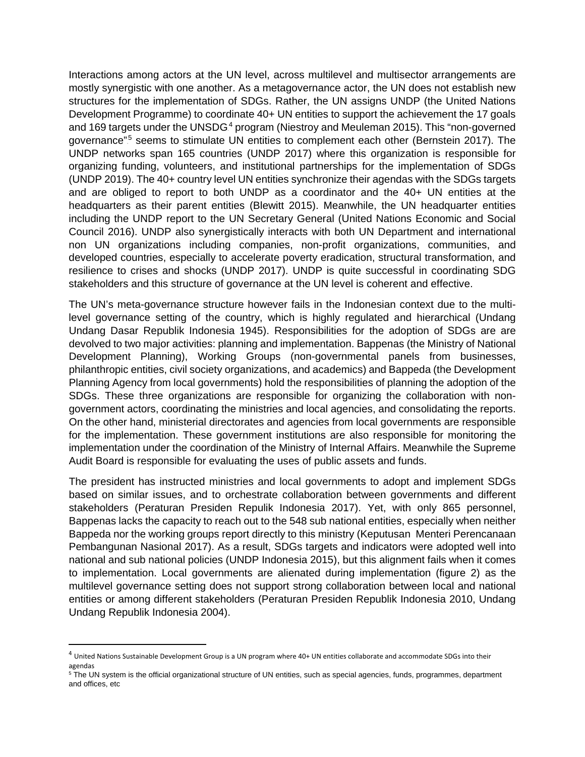Interactions among actors at the UN level, across multilevel and multisector arrangements are mostly synergistic with one another. As a metagovernance actor, the UN does not establish new structures for the implementation of SDGs. Rather, the UN assigns UNDP (the United Nations Development Programme) to coordinate 40+ UN entities to support the achievement the 17 goals and 169 targets under the UNSDG<sup>4</sup> program (Niestroy and Meuleman 2015). This "non-governed governance"<sup>5</sup> seems to stimulate UN entities to complement each other (Bernstein 2017). The UNDP networks span 165 countries (UNDP 2017) where this organization is responsible for organizing funding, volunteers, and institutional partnerships for the implementation of SDGs (UNDP 2019). The 40+ country level UN entities synchronize their agendas with the SDGs targets and are obliged to report to both UNDP as a coordinator and the 40+ UN entities at the headquarters as their parent entities (Blewitt 2015). Meanwhile, the UN headquarter entities including the UNDP report to the UN Secretary General (United Nations Economic and Social Council 2016). UNDP also synergistically interacts with both UN Department and international non UN organizations including companies, non-profit organizations, communities, and developed countries, especially to accelerate poverty eradication, structural transformation, and resilience to crises and shocks (UNDP 2017). UNDP is quite successful in coordinating SDG stakeholders and this structure of governance at the UN level is coherent and effective.

The UN's meta-governance structure however fails in the Indonesian context due to the multilevel governance setting of the country, which is highly regulated and hierarchical (Undang Undang Dasar Republik Indonesia 1945). Responsibilities for the adoption of SDGs are are devolved to two major activities: planning and implementation. Bappenas (the Ministry of National Development Planning), Working Groups (non-governmental panels from businesses, philanthropic entities, civil society organizations, and academics) and Bappeda (the Development Planning Agency from local governments) hold the responsibilities of planning the adoption of the SDGs. These three organizations are responsible for organizing the collaboration with nongovernment actors, coordinating the ministries and local agencies, and consolidating the reports. On the other hand, ministerial directorates and agencies from local governments are responsible for the implementation. These government institutions are also responsible for monitoring the implementation under the coordination of the Ministry of Internal Affairs. Meanwhile the Supreme Audit Board is responsible for evaluating the uses of public assets and funds.

The president has instructed ministries and local governments to adopt and implement SDGs based on similar issues, and to orchestrate collaboration between governments and different stakeholders (Peraturan Presiden Repulik Indonesia 2017). Yet, with only 865 personnel, Bappenas lacks the capacity to reach out to the 548 sub national entities, especially when neither Bappeda nor the working groups report directly to this ministry (Keputusan Menteri Perencanaan Pembangunan Nasional 2017). As a result, SDGs targets and indicators were adopted well into national and sub national policies (UNDP Indonesia 2015), but this alignment fails when it comes to implementation. Local governments are alienated during implementation (figure 2) as the multilevel governance setting does not support strong collaboration between local and national entities or among different stakeholders (Peraturan Presiden Republik Indonesia 2010, Undang Undang Republik Indonesia 2004).

 <sup>4</sup> United Nations Sustainable Development Group is a UN program where 40+ UN entities collaborate and accommodate SDGs into their agendas

<sup>&</sup>lt;sup>5</sup> The UN system is the official organizational structure of UN entities, such as special agencies, funds, programmes, department and offices, etc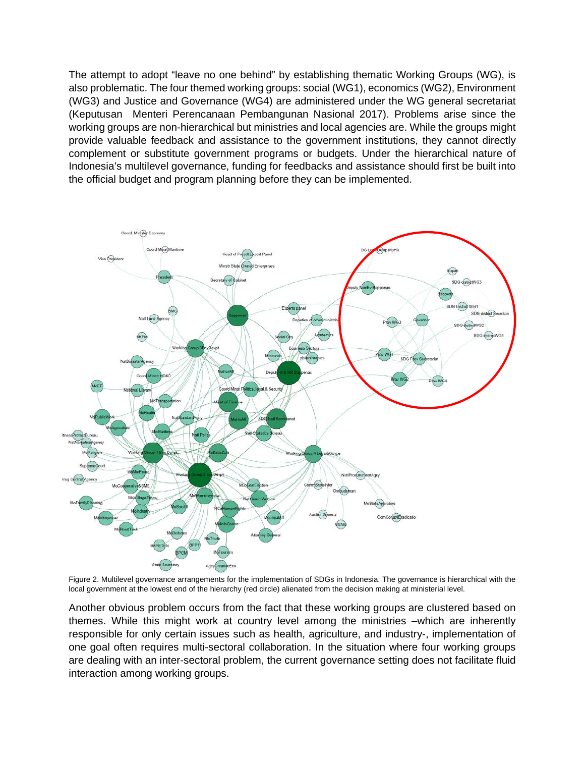The attempt to adopt "leave no one behind" by establishing thematic Working Groups (WG), is also problematic. The four themed working groups: social (WG1), economics (WG2), Environment (WG3) and Justice and Governance (WG4) are administered under the WG general secretariat (Keputusan Menteri Perencanaan Pembangunan Nasional 2017). Problems arise since the working groups are non-hierarchical but ministries and local agencies are. While the groups might provide valuable feedback and assistance to the government institutions, they cannot directly complement or substitute government programs or budgets. Under the hierarchical nature of Indonesia's multilevel governance, funding for feedbacks and assistance should first be built into the official budget and program planning before they can be implemented.



Figure 2. Multilevel governance arrangements for the implementation of SDGs in Indonesia. The governance is hierarchical with the local government at the lowest end of the hierarchy (red circle) alienated from the decision making at ministerial level.

Another obvious problem occurs from the fact that these working groups are clustered based on themes. While this might work at country level among the ministries –which are inherently responsible for only certain issues such as health, agriculture, and industry-, implementation of one goal often requires multi-sectoral collaboration. In the situation where four working groups are dealing with an inter-sectoral problem, the current governance setting does not facilitate fluid interaction among working groups.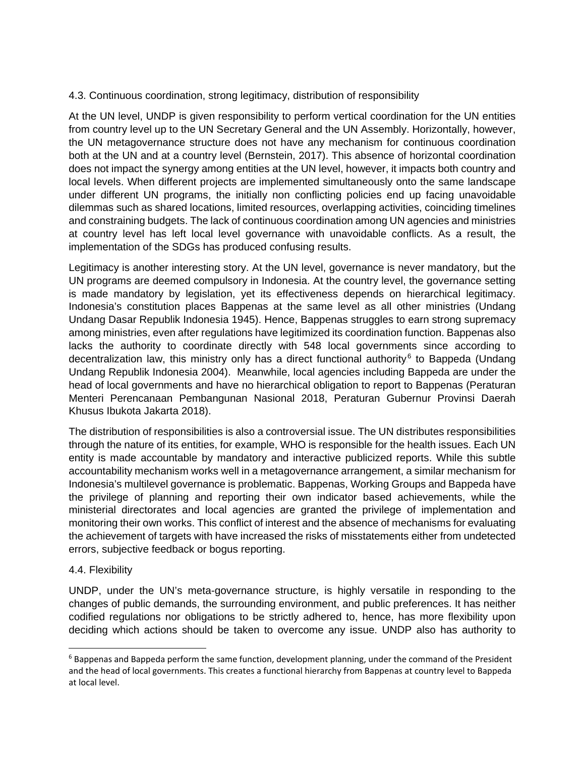### 4.3. Continuous coordination, strong legitimacy, distribution of responsibility

At the UN level, UNDP is given responsibility to perform vertical coordination for the UN entities from country level up to the UN Secretary General and the UN Assembly. Horizontally, however, the UN metagovernance structure does not have any mechanism for continuous coordination both at the UN and at a country level (Bernstein, 2017). This absence of horizontal coordination does not impact the synergy among entities at the UN level, however, it impacts both country and local levels. When different projects are implemented simultaneously onto the same landscape under different UN programs, the initially non conflicting policies end up facing unavoidable dilemmas such as shared locations, limited resources, overlapping activities, coinciding timelines and constraining budgets. The lack of continuous coordination among UN agencies and ministries at country level has left local level governance with unavoidable conflicts. As a result, the implementation of the SDGs has produced confusing results.

Legitimacy is another interesting story. At the UN level, governance is never mandatory, but the UN programs are deemed compulsory in Indonesia. At the country level, the governance setting is made mandatory by legislation, yet its effectiveness depends on hierarchical legitimacy. Indonesia's constitution places Bappenas at the same level as all other ministries (Undang Undang Dasar Republik Indonesia 1945). Hence, Bappenas struggles to earn strong supremacy among ministries, even after regulations have legitimized its coordination function. Bappenas also lacks the authority to coordinate directly with 548 local governments since according to decentralization law, this ministry only has a direct functional authority<sup>6</sup> to Bappeda (Undang Undang Republik Indonesia 2004). Meanwhile, local agencies including Bappeda are under the head of local governments and have no hierarchical obligation to report to Bappenas (Peraturan Menteri Perencanaan Pembangunan Nasional 2018, Peraturan Gubernur Provinsi Daerah Khusus Ibukota Jakarta 2018).

The distribution of responsibilities is also a controversial issue. The UN distributes responsibilities through the nature of its entities, for example, WHO is responsible for the health issues. Each UN entity is made accountable by mandatory and interactive publicized reports. While this subtle accountability mechanism works well in a metagovernance arrangement, a similar mechanism for Indonesia's multilevel governance is problematic. Bappenas, Working Groups and Bappeda have the privilege of planning and reporting their own indicator based achievements, while the ministerial directorates and local agencies are granted the privilege of implementation and monitoring their own works. This conflict of interest and the absence of mechanisms for evaluating the achievement of targets with have increased the risks of misstatements either from undetected errors, subjective feedback or bogus reporting.

#### 4.4. Flexibility

UNDP, under the UN's meta-governance structure, is highly versatile in responding to the changes of public demands, the surrounding environment, and public preferences. It has neither codified regulations nor obligations to be strictly adhered to, hence, has more flexibility upon deciding which actions should be taken to overcome any issue. UNDP also has authority to

 $6$  Bappenas and Bappeda perform the same function, development planning, under the command of the President and the head of local governments. This creates a functional hierarchy from Bappenas at country level to Bappeda at local level.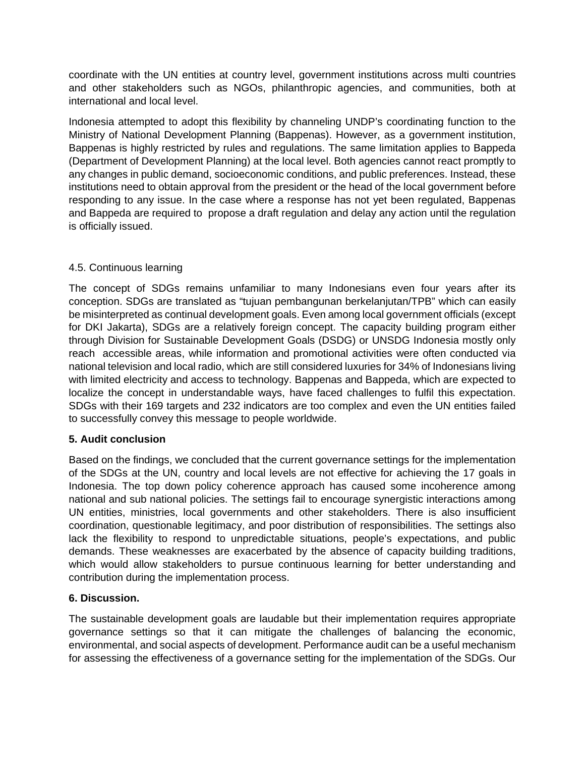coordinate with the UN entities at country level, government institutions across multi countries and other stakeholders such as NGOs, philanthropic agencies, and communities, both at international and local level.

Indonesia attempted to adopt this flexibility by channeling UNDP's coordinating function to the Ministry of National Development Planning (Bappenas). However, as a government institution, Bappenas is highly restricted by rules and regulations. The same limitation applies to Bappeda (Department of Development Planning) at the local level. Both agencies cannot react promptly to any changes in public demand, socioeconomic conditions, and public preferences. Instead, these institutions need to obtain approval from the president or the head of the local government before responding to any issue. In the case where a response has not yet been regulated, Bappenas and Bappeda are required to propose a draft regulation and delay any action until the regulation is officially issued.

# 4.5. Continuous learning

The concept of SDGs remains unfamiliar to many Indonesians even four years after its conception. SDGs are translated as "tujuan pembangunan berkelanjutan/TPB" which can easily be misinterpreted as continual development goals. Even among local government officials (except for DKI Jakarta), SDGs are a relatively foreign concept. The capacity building program either through Division for Sustainable Development Goals (DSDG) or UNSDG Indonesia mostly only reach accessible areas, while information and promotional activities were often conducted via national television and local radio, which are still considered luxuries for 34% of Indonesians living with limited electricity and access to technology. Bappenas and Bappeda, which are expected to localize the concept in understandable ways, have faced challenges to fulfil this expectation. SDGs with their 169 targets and 232 indicators are too complex and even the UN entities failed to successfully convey this message to people worldwide.

# **5. Audit conclusion**

Based on the findings, we concluded that the current governance settings for the implementation of the SDGs at the UN, country and local levels are not effective for achieving the 17 goals in Indonesia. The top down policy coherence approach has caused some incoherence among national and sub national policies. The settings fail to encourage synergistic interactions among UN entities, ministries, local governments and other stakeholders. There is also insufficient coordination, questionable legitimacy, and poor distribution of responsibilities. The settings also lack the flexibility to respond to unpredictable situations, people's expectations, and public demands. These weaknesses are exacerbated by the absence of capacity building traditions, which would allow stakeholders to pursue continuous learning for better understanding and contribution during the implementation process.

### **6. Discussion.**

The sustainable development goals are laudable but their implementation requires appropriate governance settings so that it can mitigate the challenges of balancing the economic, environmental, and social aspects of development. Performance audit can be a useful mechanism for assessing the effectiveness of a governance setting for the implementation of the SDGs. Our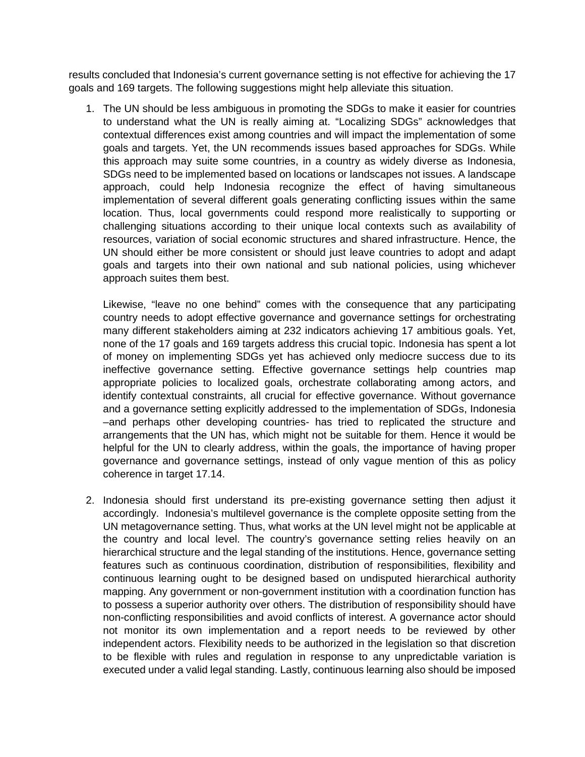results concluded that Indonesia's current governance setting is not effective for achieving the 17 goals and 169 targets. The following suggestions might help alleviate this situation.

1. The UN should be less ambiguous in promoting the SDGs to make it easier for countries to understand what the UN is really aiming at. "Localizing SDGs" acknowledges that contextual differences exist among countries and will impact the implementation of some goals and targets. Yet, the UN recommends issues based approaches for SDGs. While this approach may suite some countries, in a country as widely diverse as Indonesia, SDGs need to be implemented based on locations or landscapes not issues. A landscape approach, could help Indonesia recognize the effect of having simultaneous implementation of several different goals generating conflicting issues within the same location. Thus, local governments could respond more realistically to supporting or challenging situations according to their unique local contexts such as availability of resources, variation of social economic structures and shared infrastructure. Hence, the UN should either be more consistent or should just leave countries to adopt and adapt goals and targets into their own national and sub national policies, using whichever approach suites them best.

Likewise, "leave no one behind" comes with the consequence that any participating country needs to adopt effective governance and governance settings for orchestrating many different stakeholders aiming at 232 indicators achieving 17 ambitious goals. Yet, none of the 17 goals and 169 targets address this crucial topic. Indonesia has spent a lot of money on implementing SDGs yet has achieved only mediocre success due to its ineffective governance setting. Effective governance settings help countries map appropriate policies to localized goals, orchestrate collaborating among actors, and identify contextual constraints, all crucial for effective governance. Without governance and a governance setting explicitly addressed to the implementation of SDGs, Indonesia –and perhaps other developing countries- has tried to replicated the structure and arrangements that the UN has, which might not be suitable for them. Hence it would be helpful for the UN to clearly address, within the goals, the importance of having proper governance and governance settings, instead of only vague mention of this as policy coherence in target 17.14.

2. Indonesia should first understand its pre-existing governance setting then adjust it accordingly. Indonesia's multilevel governance is the complete opposite setting from the UN metagovernance setting. Thus, what works at the UN level might not be applicable at the country and local level. The country's governance setting relies heavily on an hierarchical structure and the legal standing of the institutions. Hence, governance setting features such as continuous coordination, distribution of responsibilities, flexibility and continuous learning ought to be designed based on undisputed hierarchical authority mapping. Any government or non-government institution with a coordination function has to possess a superior authority over others. The distribution of responsibility should have non-conflicting responsibilities and avoid conflicts of interest. A governance actor should not monitor its own implementation and a report needs to be reviewed by other independent actors. Flexibility needs to be authorized in the legislation so that discretion to be flexible with rules and regulation in response to any unpredictable variation is executed under a valid legal standing. Lastly, continuous learning also should be imposed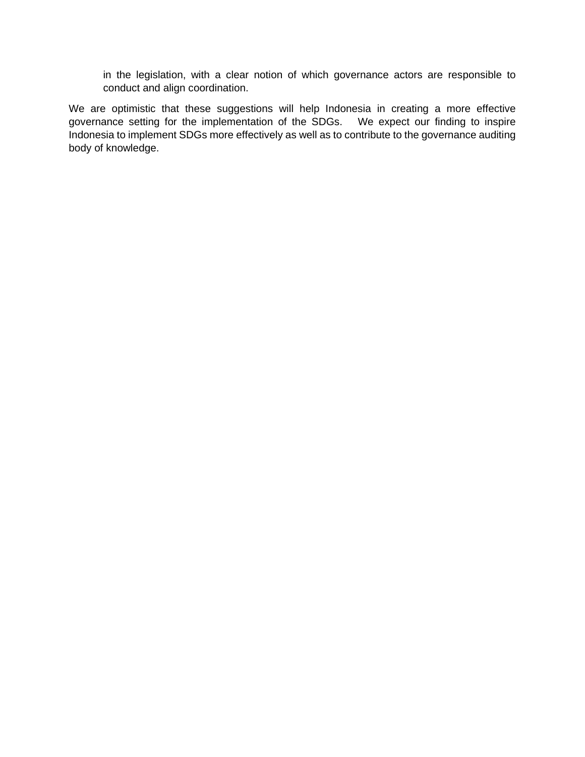in the legislation, with a clear notion of which governance actors are responsible to conduct and align coordination.

We are optimistic that these suggestions will help Indonesia in creating a more effective governance setting for the implementation of the SDGs. We expect our finding to inspire Indonesia to implement SDGs more effectively as well as to contribute to the governance auditing body of knowledge.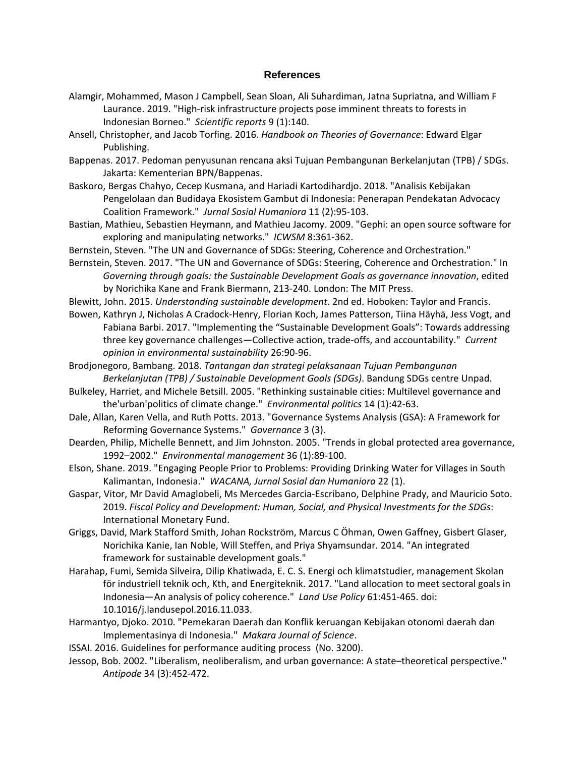#### **References**

- Alamgir, Mohammed, Mason J Campbell, Sean Sloan, Ali Suhardiman, Jatna Supriatna, and William F Laurance. 2019. "High-risk infrastructure projects pose imminent threats to forests in Indonesian Borneo." *Scientific reports* 9 (1):140.
- Ansell, Christopher, and Jacob Torfing. 2016. *Handbook on Theories of Governance*: Edward Elgar Publishing.
- Bappenas. 2017. Pedoman penyusunan rencana aksi Tujuan Pembangunan Berkelanjutan (TPB) / SDGs. Jakarta: Kementerian BPN/Bappenas.
- Baskoro, Bergas Chahyo, Cecep Kusmana, and Hariadi Kartodihardjo. 2018. "Analisis Kebijakan Pengelolaan dan Budidaya Ekosistem Gambut di Indonesia: Penerapan Pendekatan Advocacy Coalition Framework." *Jurnal Sosial Humaniora* 11 (2):95-103.
- Bastian, Mathieu, Sebastien Heymann, and Mathieu Jacomy. 2009. "Gephi: an open source software for exploring and manipulating networks." *ICWSM* 8:361-362.
- Bernstein, Steven. "The UN and Governance of SDGs: Steering, Coherence and Orchestration."
- Bernstein, Steven. 2017. "The UN and Governance of SDGs: Steering, Coherence and Orchestration." In *Governing through goals: the Sustainable Development Goals as governance innovation*, edited by Norichika Kane and Frank Biermann, 213-240. London: The MIT Press.
- Blewitt, John. 2015. *Understanding sustainable development*. 2nd ed. Hoboken: Taylor and Francis.
- Bowen, Kathryn J, Nicholas A Cradock-Henry, Florian Koch, James Patterson, Tiina Häyhä, Jess Vogt, and Fabiana Barbi. 2017. "Implementing the "Sustainable Development Goals": Towards addressing three key governance challenges—Collective action, trade-offs, and accountability." *Current opinion in environmental sustainability* 26:90-96.
- Brodjonegoro, Bambang. 2018. *Tantangan dan strategi pelaksanaan Tujuan Pembangunan Berkelanjutan (TPB) / Sustainable Development Goals (SDGs)*. Bandung SDGs centre Unpad.
- Bulkeley, Harriet, and Michele Betsill. 2005. "Rethinking sustainable cities: Multilevel governance and the'urban'politics of climate change." *Environmental politics* 14 (1):42-63.
- Dale, Allan, Karen Vella, and Ruth Potts. 2013. "Governance Systems Analysis (GSA): A Framework for Reforming Governance Systems." *Governance* 3 (3).
- Dearden, Philip, Michelle Bennett, and Jim Johnston. 2005. "Trends in global protected area governance, 1992–2002." *Environmental management* 36 (1):89-100.
- Elson, Shane. 2019. "Engaging People Prior to Problems: Providing Drinking Water for Villages in South Kalimantan, Indonesia." *WACANA, Jurnal Sosial dan Humaniora* 22 (1).
- Gaspar, Vitor, Mr David Amaglobeli, Ms Mercedes Garcia-Escribano, Delphine Prady, and Mauricio Soto. 2019. *Fiscal Policy and Development: Human, Social, and Physical Investments for the SDGs*: International Monetary Fund.
- Griggs, David, Mark Stafford Smith, Johan Rockström, Marcus C Öhman, Owen Gaffney, Gisbert Glaser, Norichika Kanie, Ian Noble, Will Steffen, and Priya Shyamsundar. 2014. "An integrated framework for sustainable development goals."
- Harahap, Fumi, Semida Silveira, Dilip Khatiwada, E. C. S. Energi och klimatstudier, management Skolan för industriell teknik och, Kth, and Energiteknik. 2017. "Land allocation to meet sectoral goals in Indonesia—An analysis of policy coherence." *Land Use Policy* 61:451-465. doi: 10.1016/j.landusepol.2016.11.033.
- Harmantyo, Djoko. 2010. "Pemekaran Daerah dan Konflik keruangan Kebijakan otonomi daerah dan Implementasinya di Indonesia." *Makara Journal of Science*.
- ISSAI. 2016. Guidelines for performance auditing process (No. 3200).
- Jessop, Bob. 2002. "Liberalism, neoliberalism, and urban governance: A state–theoretical perspective." *Antipode* 34 (3):452-472.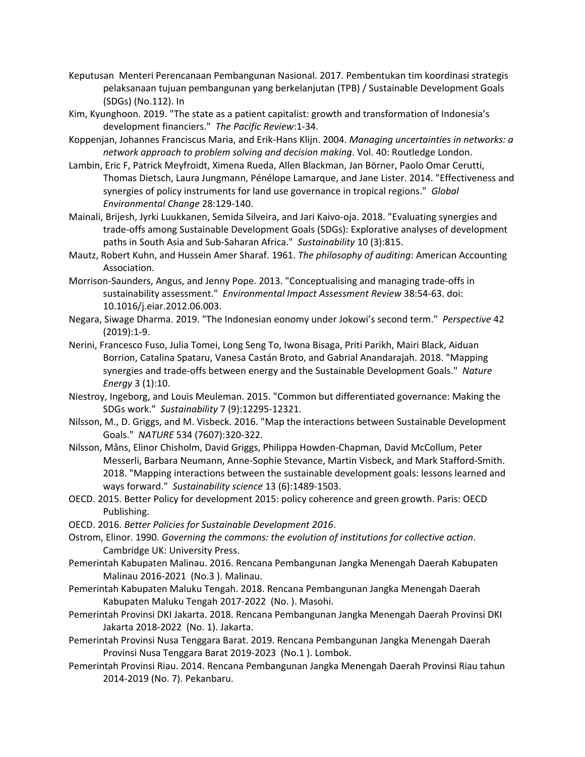- Keputusan Menteri Perencanaan Pembangunan Nasional. 2017. Pembentukan tim koordinasi strategis pelaksanaan tujuan pembangunan yang berkelanjutan (TPB) / Sustainable Development Goals (SDGs) (No.112). In
- Kim, Kyunghoon. 2019. "The state as a patient capitalist: growth and transformation of Indonesia's development financiers." *The Pacific Review*:1-34.
- Koppenjan, Johannes Franciscus Maria, and Erik-Hans Klijn. 2004. *Managing uncertainties in networks: a network approach to problem solving and decision making*. Vol. 40: Routledge London.
- Lambin, Eric F, Patrick Meyfroidt, Ximena Rueda, Allen Blackman, Jan Börner, Paolo Omar Cerutti, Thomas Dietsch, Laura Jungmann, Pénélope Lamarque, and Jane Lister. 2014. "Effectiveness and synergies of policy instruments for land use governance in tropical regions." *Global Environmental Change* 28:129-140.
- Mainali, Brijesh, Jyrki Luukkanen, Semida Silveira, and Jari Kaivo-oja. 2018. "Evaluating synergies and trade-offs among Sustainable Development Goals (SDGs): Explorative analyses of development paths in South Asia and Sub-Saharan Africa." *Sustainability* 10 (3):815.
- Mautz, Robert Kuhn, and Hussein Amer Sharaf. 1961. *The philosophy of auditing*: American Accounting Association.
- Morrison-Saunders, Angus, and Jenny Pope. 2013. "Conceptualising and managing trade-offs in sustainability assessment." *Environmental Impact Assessment Review* 38:54-63. doi: 10.1016/j.eiar.2012.06.003.
- Negara, Siwage Dharma. 2019. "The Indonesian eonomy under Jokowi's second term." *Perspective* 42 (2019):1-9.
- Nerini, Francesco Fuso, Julia Tomei, Long Seng To, Iwona Bisaga, Priti Parikh, Mairi Black, Aiduan Borrion, Catalina Spataru, Vanesa Castán Broto, and Gabrial Anandarajah. 2018. "Mapping synergies and trade-offs between energy and the Sustainable Development Goals." *Nature Energy* 3 (1):10.
- Niestroy, Ingeborg, and Louis Meuleman. 2015. "Common but differentiated governance: Making the SDGs work." *Sustainability* 7 (9):12295-12321.
- Nilsson, M., D. Griggs, and M. Visbeck. 2016. "Map the interactions between Sustainable Development Goals." *NATURE* 534 (7607):320-322.
- Nilsson, Måns, Elinor Chisholm, David Griggs, Philippa Howden-Chapman, David McCollum, Peter Messerli, Barbara Neumann, Anne-Sophie Stevance, Martin Visbeck, and Mark Stafford-Smith. 2018. "Mapping interactions between the sustainable development goals: lessons learned and ways forward." *Sustainability science* 13 (6):1489-1503.
- OECD. 2015. Better Policy for development 2015: policy coherence and green growth. Paris: OECD Publishing.
- OECD. 2016. *Better Policies for Sustainable Development 2016*.
- Ostrom, Elinor. 1990. *Governing the commons: the evolution of institutions for collective action*. Cambridge UK: University Press.
- Pemerintah Kabupaten Malinau. 2016. Rencana Pembangunan Jangka Menengah Daerah Kabupaten Malinau 2016-2021 (No.3 ). Malinau.
- Pemerintah Kabupaten Maluku Tengah. 2018. Rencana Pembangunan Jangka Menengah Daerah Kabupaten Maluku Tengah 2017-2022 (No. ). Masohi.
- Pemerintah Provinsi DKI Jakarta. 2018. Rencana Pembangunan Jangka Menengah Daerah Provinsi DKI Jakarta 2018-2022 (No. 1). Jakarta.
- Pemerintah Provinsi Nusa Tenggara Barat. 2019. Rencana Pembangunan Jangka Menengah Daerah Provinsi Nusa Tenggara Barat 2019-2023 (No.1 ). Lombok.
- Pemerintah Provinsi Riau. 2014. Rencana Pembangunan Jangka Menengah Daerah Provinsi Riau tahun 2014-2019 (No. 7). Pekanbaru.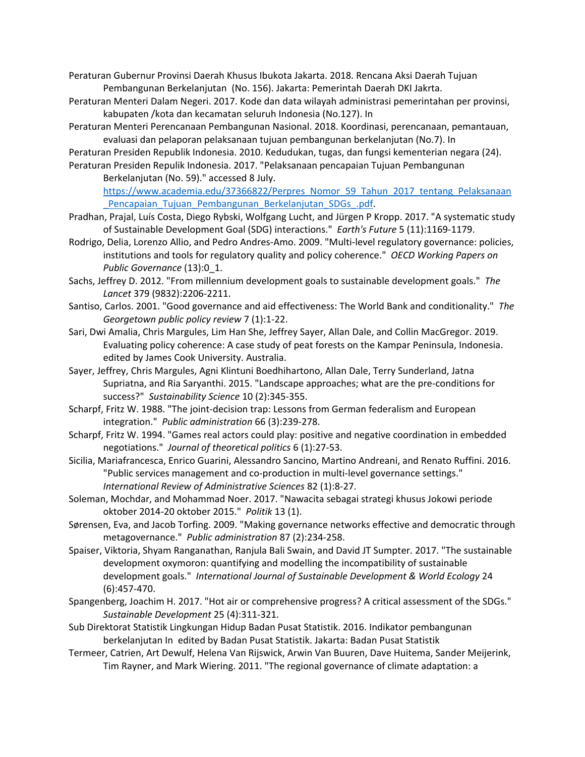Peraturan Gubernur Provinsi Daerah Khusus Ibukota Jakarta. 2018. Rencana Aksi Daerah Tujuan Pembangunan Berkelanjutan (No. 156). Jakarta: Pemerintah Daerah DKI Jakrta.

- Peraturan Menteri Dalam Negeri. 2017. Kode dan data wilayah administrasi pemerintahan per provinsi, kabupaten /kota dan kecamatan seluruh Indonesia (No.127). In
- Peraturan Menteri Perencanaan Pembangunan Nasional. 2018. Koordinasi, perencanaan, pemantauan, evaluasi dan pelaporan pelaksanaan tujuan pembangunan berkelanjutan (No.7). In

Peraturan Presiden Republik Indonesia. 2010. Kedudukan, tugas, dan fungsi kementerian negara (24). Peraturan Presiden Repulik Indonesia. 2017. "Pelaksanaan pencapaian Tujuan Pembangunan

Berkelanjutan (No. 59)." accessed 8 July.

[https://www.academia.edu/37366822/Perpres\\_Nomor\\_59\\_Tahun\\_2017\\_tentang\\_Pelaksanaan](https://www.academia.edu/37366822/Perpres_Nomor_59_Tahun_2017_tentang_Pelaksanaan_Pencapaian_Tujuan_Pembangunan_Berkelanjutan_SDGs_.pdf) Pencapaian\_Tujuan\_Pembangunan\_Berkelanjutan\_SDGs\_.pdf.

- Pradhan, Prajal, Luís Costa, Diego Rybski, Wolfgang Lucht, and Jürgen P Kropp. 2017. "A systematic study of Sustainable Development Goal (SDG) interactions." *Earth's Future* 5 (11):1169-1179.
- Rodrigo, Delia, Lorenzo Allio, and Pedro Andres-Amo. 2009. "Multi-level regulatory governance: policies, institutions and tools for regulatory quality and policy coherence." *OECD Working Papers on Public Governance* (13):0\_1.
- Sachs, Jeffrey D. 2012. "From millennium development goals to sustainable development goals." *The Lancet* 379 (9832):2206-2211.
- Santiso, Carlos. 2001. "Good governance and aid effectiveness: The World Bank and conditionality." *The Georgetown public policy review* 7 (1):1-22.
- Sari, Dwi Amalia, Chris Margules, Lim Han She, Jeffrey Sayer, Allan Dale, and Collin MacGregor. 2019. Evaluating policy coherence: A case study of peat forests on the Kampar Peninsula, Indonesia. edited by James Cook University. Australia.
- Sayer, Jeffrey, Chris Margules, Agni Klintuni Boedhihartono, Allan Dale, Terry Sunderland, Jatna Supriatna, and Ria Saryanthi. 2015. "Landscape approaches; what are the pre-conditions for success?" *Sustainability Science* 10 (2):345-355.
- Scharpf, Fritz W. 1988. "The joint-decision trap: Lessons from German federalism and European integration." *Public administration* 66 (3):239-278.
- Scharpf, Fritz W. 1994. "Games real actors could play: positive and negative coordination in embedded negotiations." *Journal of theoretical politics* 6 (1):27-53.
- Sicilia, Mariafrancesca, Enrico Guarini, Alessandro Sancino, Martino Andreani, and Renato Ruffini. 2016. "Public services management and co-production in multi-level governance settings." *International Review of Administrative Sciences* 82 (1):8-27.
- Soleman, Mochdar, and Mohammad Noer. 2017. "Nawacita sebagai strategi khusus Jokowi periode oktober 2014-20 oktober 2015." *Politik* 13 (1).
- Sørensen, Eva, and Jacob Torfing. 2009. "Making governance networks effective and democratic through metagovernance." *Public administration* 87 (2):234-258.
- Spaiser, Viktoria, Shyam Ranganathan, Ranjula Bali Swain, and David JT Sumpter. 2017. "The sustainable development oxymoron: quantifying and modelling the incompatibility of sustainable development goals." *International Journal of Sustainable Development & World Ecology* 24 (6):457-470.
- Spangenberg, Joachim H. 2017. "Hot air or comprehensive progress? A critical assessment of the SDGs." *Sustainable Development* 25 (4):311-321.
- Sub Direktorat Statistik Lingkungan Hidup Badan Pusat Statistik. 2016. Indikator pembangunan berkelanjutan Inedited by Badan Pusat Statistik. Jakarta: Badan Pusat Statistik
- Termeer, Catrien, Art Dewulf, Helena Van Rijswick, Arwin Van Buuren, Dave Huitema, Sander Meijerink, Tim Rayner, and Mark Wiering. 2011. "The regional governance of climate adaptation: a